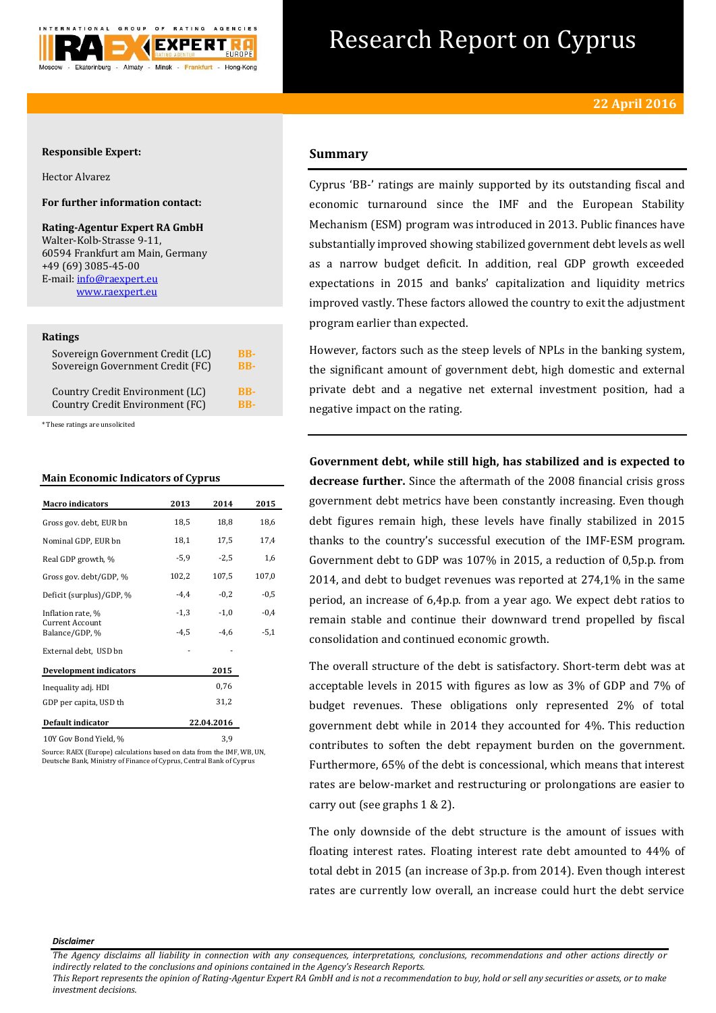

# Research Report on Cyprus

## **Responsible Expert:**

Hector Alvarez

## **For further information contact:**

**Rating-Agentur Expert RA GmbH** Walter-Kolb-Strasse 9-11, 60594 Frankfurt am Main, Germany +49 (69) 3085-45-00 E-mail[: info@raexpert.eu](mailto:info@raexpert.eu) [www.raexpert.eu](http://raexpert.eu/)

#### **Ratings**

| Sovereign Government Credit (LC) | <b>BB-</b> |
|----------------------------------|------------|
| Sovereign Government Credit (FC) | RR-        |
| Country Credit Environment (LC)  | <b>BB-</b> |
| Country Credit Environment (FC)  | <b>RB-</b> |

\* These ratings are unsolicited

### **Main Economic Indicators of Cyprus**

| <b>Macro</b> indicators           | 2013   | 2014       | 2015   |
|-----------------------------------|--------|------------|--------|
| Gross gov. debt, EUR bn           | 18,5   | 18,8       | 18,6   |
| Nominal GDP, EUR bn               | 18,1   | 17,5       | 17,4   |
| Real GDP growth, %                | $-5,9$ | $-2,5$     | 1,6    |
| Gross gov. debt/GDP, %            | 102,2  | 107,5      | 107,0  |
| Deficit (surplus)/GDP, %          | $-4,4$ | $-0,2$     | $-0,5$ |
| Inflation rate, %                 | $-1,3$ | $-1,0$     | $-0,4$ |
| Current Account<br>Balance/GDP, % | $-4,5$ | $-4,6$     | $-5,1$ |
| External debt, USD bn             |        |            |        |
| <b>Development indicators</b>     |        | 2015       |        |
| Inequality adj. HDI               |        | 0,76       |        |
| GDP per capita, USD th            |        | 31,2       |        |
| Default indicator                 |        | 22.04.2016 |        |
| 10Y Gov Bond Yield, %             |        | 3,9        |        |

ource: RAEX (Europe) calculations based on data from the IMF, WB, UN, Deutsche Bank, Ministry of Finance of Cyprus, Central Bank of Cyprus

## **Summary**

Cyprus 'BB-' ratings are mainly supported by its outstanding fiscal and economic turnaround since the IMF and the European Stability Mechanism (ESM) program was introduced in 2013. Public finances have substantially improved showing stabilized government debt levels as well as a narrow budget deficit. In addition, real GDP growth exceeded expectations in 2015 and banks' capitalization and liquidity metrics improved vastly. These factors allowed the country to exit the adjustment program earlier than expected.

However, factors such as the steep levels of NPLs in the banking system, the significant amount of government debt, high domestic and external private debt and a negative net external investment position, had a negative impact on the rating.

**Government debt, while still high, has stabilized and is expected to decrease further.** Since the aftermath of the 2008 financial crisis gross government debt metrics have been constantly increasing. Even though debt figures remain high, these levels have finally stabilized in 2015 thanks to the country's successful execution of the IMF-ESM program. Government debt to GDP was 107% in 2015, a reduction of 0,5p.p. from 2014, and debt to budget revenues was reported at 274,1% in the same period, an increase of 6,4p.p. from a year ago. We expect debt ratios to remain stable and continue their downward trend propelled by fiscal consolidation and continued economic growth.

The overall structure of the debt is satisfactory. Short-term debt was at acceptable levels in 2015 with figures as low as 3% of GDP and 7% of budget revenues. These obligations only represented 2% of total government debt while in 2014 they accounted for 4%. This reduction contributes to soften the debt repayment burden on the government. Furthermore, 65% of the debt is concessional, which means that interest rates are below-market and restructuring or prolongations are easier to carry out (see graphs 1 & 2).

The only downside of the debt structure is the amount of issues with floating interest rates. Floating interest rate debt amounted to 44% of total debt in 2015 (an increase of 3p.p. from 2014). Even though interest rates are currently low overall, an increase could hurt the debt service

#### *Disclaimer*

*This Report represents the opinion of Rating-Agentur Expert RA GmbH and is not a recommendation to buy, hold or sell any securities or assets, or to make investment decisions.*

*The Agency disclaims all liability in connection with any consequences, interpretations, conclusions, recommendations and other actions directly or indirectly related to the conclusions and opinions contained in the Agency's Research Reports.*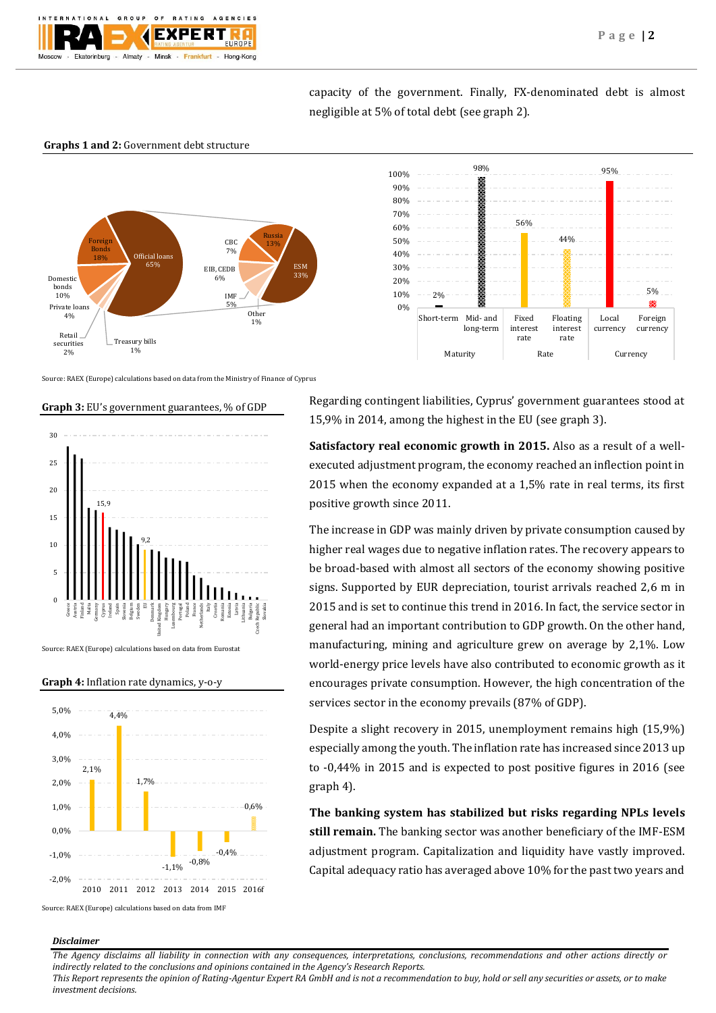

95%

Local currency 5%

æ

Foreign currency

capacity of the government. Finally, FX-denominated debt is almost negligible at 5% of total debt (see graph 2).

56%

Fixed interest rate

Maturity Rate Currency

44%

Floating interest rate

98%

## **Graphs 1 and 2:** Government debt structure



Source: RAEX (Europe) calculations based on data from the Ministry of Finance of Cyprus

#### **Graph 3:** EU's government guarantees, % of GDP



Source: RAEX (Europe) calculations based on data from Eurostat

#### **Graph 4:** Inflation rate dynamics, y-o-y



Source: RAEX (Europe) calculations based on data from IMF

#### *Disclaimer*

*The Agency disclaims all liability in connection with any consequences, interpretations, conclusions, recommendations and other actions directly or indirectly related to the conclusions and opinions contained in the Agency's Research Reports.*

*This Report represents the opinion of Rating-Agentur Expert RA GmbH and is not a recommendation to buy, hold or sell any securities or assets, or to make investment decisions.*



2%

Short-term Mid- and

long-term

0% 10% 20% 30% 40% 50% 60% 70% 80% 90% 100%

**Satisfactory real economic growth in 2015.** Also as a result of a wellexecuted adjustment program, the economy reached an inflection point in 2015 when the economy expanded at a 1,5% rate in real terms, its first positive growth since 2011.

The increase in GDP was mainly driven by private consumption caused by higher real wages due to negative inflation rates. The recovery appears to be broad-based with almost all sectors of the economy showing positive signs. Supported by EUR depreciation, tourist arrivals reached 2,6 m in 2015 and is set to continue this trend in 2016. In fact, the service sector in general had an important contribution to GDP growth. On the other hand, manufacturing, mining and agriculture grew on average by 2,1%. Low world-energy price levels have also contributed to economic growth as it encourages private consumption. However, the high concentration of the services sector in the economy prevails (87% of GDP).

Despite a slight recovery in 2015, unemployment remains high (15,9%) especially among the youth. The inflation rate has increased since 2013 up to -0,44% in 2015 and is expected to post positive figures in 2016 (see graph 4).

**The banking system has stabilized but risks regarding NPLs levels still remain.** The banking sector was another beneficiary of the IMF-ESM adjustment program. Capitalization and liquidity have vastly improved. Capital adequacy ratio has averaged above 10% for the past two years and